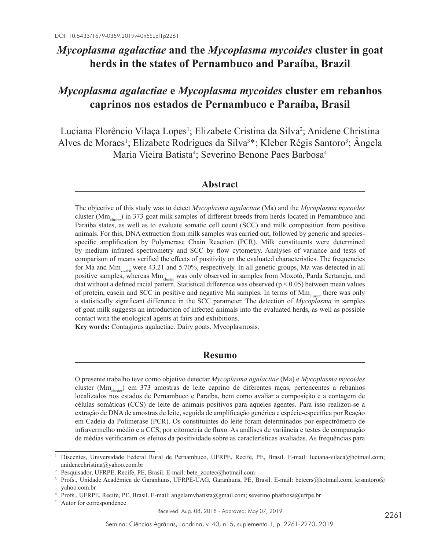# *Mycoplasma agalactiae* **and the** *Mycoplasma mycoides* **cluster in goat herds in the states of Pernambuco and Paraíba, Brazil**

# *Mycoplasma agalactiae* **e** *Mycoplasma mycoides* **cluster em rebanhos caprinos nos estados de Pernambuco e Paraíba, Brasil**

Luciana Florêncio Vilaça Lopes<sup>1</sup>; Elizabete Cristina da Silva<sup>2</sup>; Anidene Christina Alves de Moraes<sup>1</sup>; Elizabete Rodrigues da Silva<sup>3\*</sup>; Kleber Régis Santoro<sup>3</sup>; Angela Maria Vieira Batista<sup>4</sup>; Severino Benone Paes Barbosa<sup>4</sup>

### **Abstract**

The objective of this study was to detect *Mycoplasma agalactiae* (Ma) and the *Mycoplasma mycoides* cluster (Mm<sub>cluster</sub>) in 373 goat milk samples of different breeds from herds located in Pernambuco and Paraíba states, as well as to evaluate somatic cell count (SCC) and milk composition from positive animals. For this, DNA extraction from milk samples was carried out, followed by generic and speciesspecific amplification by Polymerase Chain Reaction (PCR). Milk constituents were determined by medium infrared spectrometry and SCC by flow cytometry. Analyses of variance and tests of comparison of means verified the effects of positivity on the evaluated characteristics. The frequencies for Ma and  $Mm<sub>cluster</sub>$  were 43.21 and 5.70%, respectively. In all genetic groups, Ma was detected in all positive samples, whereas Mm<sub>cluster</sub> was only observed in samples from Moxotó, Parda Sertaneja, and that without a defined racial pattern. Statistical difference was observed ( $p < 0.05$ ) between mean values of protein, casein and SCC in positive and negative Ma samples. In terms of Mm<sub>cluster</sub> there was only a statistically significant difference in the SCC parameter. The detection of *Mycoplasma* in samples of goat milk suggests an introduction of infected animals into the evaluated herds, as well as possible contact with the etiological agents at fairs and exhibitions.

**Key words:** Contagious agalactiae. Dairy goats. Mycoplasmosis.

## **Resumo**

O presente trabalho teve como objetivo detectar *Mycoplasma agalactiae* (Ma) e *Mycoplasma mycoides* cluster (Mmcluster) em 373 amostras de leite caprino de diferentes raças, pertencentes a rebanhos localizados nos estados de Pernambuco e Paraíba, bem como avaliar a composição e a contagem de células somáticas (CCS) de leite de animais positivos para aqueles agentes. Para isso realizou-se a extração de DNA de amostras de leite, seguida de amplificação genérica e espécie-específica por Reação em Cadeia da Polimerase (PCR). Os constituintes do leite foram determinados por espectrômetro de infravermelho médio e a CCS, por citometria de fluxo. As análises de variância e testes de comparação de médias verificaram os efeitos da positividade sobre as características avaliadas. As frequências para

Received: Aug. 08, 2018 - Approved: May 07, 2019

<sup>&</sup>lt;sup>1</sup> Discentes, Universidade Federal Rural de Pernambuco, UFRPE, Recife, PE, Brasil. E-mail: luciana-vilaca@hotmail.com; anidenechristina@yahoo.com.br

<sup>2</sup> Pesquisador, UFRPE, Recife, PE, Brasil. E-mail: bete\_zootec@hotmail.com

<sup>3</sup> Profs., Unidade Acadêmica de Garanhuns, UFRPE-UAG, Garanhuns, PE, Brasil. E-mail: beteers@hotmail.com; krsantoro@ yahoo.com.br

<sup>4</sup> Profs., UFRPE, Recife, PE, Brasil. E-mail: angelamvbatista@gmail.com; severino.pbarbosa@ufrpe.br

Autor for correspondence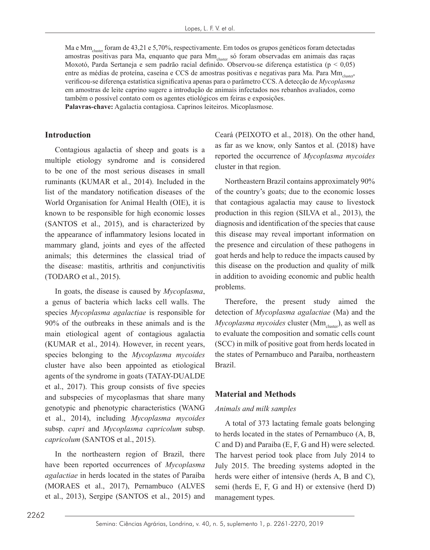Ma e Mm<sub>cluster</sub> foram de 43,21 e 5,70%, respectivamente. Em todos os grupos genéticos foram detectadas amostras positivas para Ma, enquanto que para Mm<sub>cluster</sub> só foram observadas em animais das raças Moxotó, Parda Sertaneja e sem padrão racial definido. Observou-se diferença estatística (p < 0,05) entre as médias de proteína, caseína e CCS de amostras positivas e negativas para Ma. Para Mm<sub>cluster</sub>, verificou-se diferença estatística significativa apenas para o parâmetro CCS. A detecção de *Mycoplasma* em amostras de leite caprino sugere a introdução de animais infectados nos rebanhos avaliados, como também o possível contato com os agentes etiológicos em feiras e exposições.

**Palavras-chave:** Agalactia contagiosa. Caprinos leiteiros. Micoplasmose.

#### **Introduction**

Contagious agalactia of sheep and goats is a multiple etiology syndrome and is considered to be one of the most serious diseases in small ruminants (KUMAR et al., 2014). Included in the list of the mandatory notification diseases of the World Organisation for Animal Health (OIE), it is known to be responsible for high economic losses (SANTOS et al., 2015), and is characterized by the appearance of inflammatory lesions located in mammary gland, joints and eyes of the affected animals; this determines the classical triad of the disease: mastitis, arthritis and conjunctivitis (TODARO et al., 2015).

In goats, the disease is caused by *Mycoplasma*, a genus of bacteria which lacks cell walls. The species *Mycoplasma agalactiae* is responsible for 90% of the outbreaks in these animals and is the main etiological agent of contagious agalactia (KUMAR et al., 2014). However, in recent years, species belonging to the *Mycoplasma mycoides* cluster have also been appointed as etiological agents of the syndrome in goats (TATAY-DUALDE et al., 2017). This group consists of five species and subspecies of mycoplasmas that share many genotypic and phenotypic characteristics (WANG et al., 2014), including *Mycoplasma mycoides* subsp. *capri* and *Mycoplasma capricolum* subsp. *capricolum* (SANTOS et al., 2015).

In the northeastern region of Brazil, there have been reported occurrences of *Mycoplasma agalactiae* in herds located in the states of Paraíba (MORAES et al., 2017), Pernambuco (ALVES et al., 2013), Sergipe (SANTOS et al., 2015) and Ceará (PEIXOTO et al., 2018). On the other hand, as far as we know, only Santos et al. (2018) have reported the occurrence of *Mycoplasma mycoides* cluster in that region.

Northeastern Brazil contains approximately 90% of the country's goats; due to the economic losses that contagious agalactia may cause to livestock production in this region (SILVA et al., 2013), the diagnosis and identification of the species that cause this disease may reveal important information on the presence and circulation of these pathogens in goat herds and help to reduce the impacts caused by this disease on the production and quality of milk in addition to avoiding economic and public health problems.

Therefore, the present study aimed the detection of *Mycoplasma agalactiae* (Ma) and the *Mycoplasma mycoides* cluster (Mm<sub>cluster</sub>), as well as to evaluate the composition and somatic cells count (SCC) in milk of positive goat from herds located in the states of Pernambuco and Paraíba, northeastern Brazil.

#### **Material and Methods**

#### *Animals and milk samples*

A total of 373 lactating female goats belonging to herds located in the states of Pernambuco (A, B, C and D) and Paraiba (E, F, G and H) were selected. The harvest period took place from July 2014 to July 2015. The breeding systems adopted in the herds were either of intensive (herds A, B and C), semi (herds E, F, G and H) or extensive (herd D) management types.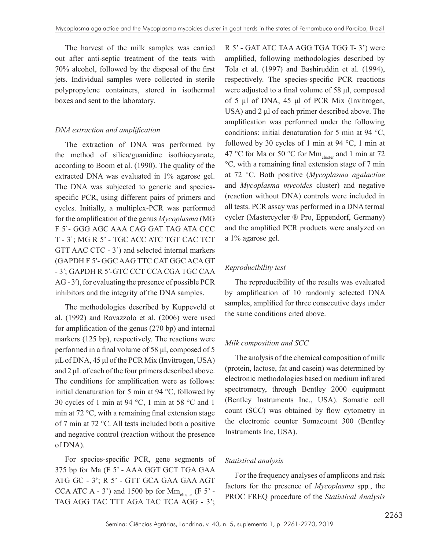The harvest of the milk samples was carried out after anti-septic treatment of the teats with 70% alcohol, followed by the disposal of the first jets. Individual samples were collected in sterile polypropylene containers, stored in isothermal boxes and sent to the laboratory.

### *DNA extraction and amplification*

The extraction of DNA was performed by the method of silica/guanidine isothiocyanate, according to Boom et al. (1990). The quality of the extracted DNA was evaluated in 1% agarose gel. The DNA was subjected to generic and speciesspecific PCR, using different pairs of primers and cycles. Initially, a multiplex-PCR was performed for the amplification of the genus *Mycoplasma* (MG F 5`- GGG AGC AAA CAG GAT TAG ATA CCC T - 3`; MG R 5' - TGC ACC ATC TGT CAC TCT GTT AAC CTC - 3') and selected internal markers (GAPDH F 5′- GGC AAG TTC CAT GGC ACA GT - 3′; GAPDH R 5′-GTC CCT CCA CGA TGC CAA AG - 3′), for evaluating the presence of possible PCR inhibitors and the integrity of the DNA samples.

The methodologies described by Kuppeveld et al. (1992) and Ravazzolo et al. (2006) were used for amplification of the genus (270 bp) and internal markers (125 bp), respectively. The reactions were performed in a final volume of 58 μl, composed of 5 μL of DNA, 45 μl of the PCR Mix (Invitrogen, USA) and 2 μL of each of the four primers described above. The conditions for amplification were as follows: initial denaturation for 5 min at 94 °C, followed by 30 cycles of 1 min at 94 °C, 1 min at 58 °C and 1 min at 72 °C, with a remaining final extension stage of 7 min at 72 °C. All tests included both a positive and negative control (reaction without the presence of DNA).

For species-specific PCR, gene segments of 375 bp for Ma (F 5' - AAA GGT GCT TGA GAA ATG GC - 3'; R 5' - GTT GCA GAA GAA AGT CCA ATC A - 3') and 1500 bp for  $Mm_{cluster}$  (F 5' -TAG AGG TAC TTT AGA TAC TCA AGG - 3';

R 5' - GAT ATC TAA AGG TGA TGG T- 3') were amplified, following methodologies described by Tola et al. (1997) and Bashiruddin et al. (1994), respectively. The species-specific PCR reactions were adjusted to a final volume of 58 μl, composed of 5 μl of DNA, 45 μl of PCR Mix (Invitrogen, USA) and 2 μl of each primer described above. The amplification was performed under the following conditions: initial denaturation for 5 min at 94 °C, followed by 30 cycles of 1 min at 94 °C, 1 min at 47 °C for Ma or 50 °C for Mm<sub>cluster</sub> and 1 min at 72 °C, with a remaining final extension stage of 7 min at 72 °C. Both positive (*Mycoplasma agalactiae* and *Mycoplasma mycoides* cluster) and negative (reaction without DNA) controls were included in all tests. PCR assay was performed in a DNA termal cycler (Mastercycler ® Pro, Eppendorf, Germany) and the amplified PCR products were analyzed on a 1% agarose gel.

## *Reproducibility test*

The reproducibility of the results was evaluated by amplification of 10 randomly selected DNA samples, amplified for three consecutive days under the same conditions cited above.

## *Milk composition and SCC*

The analysis of the chemical composition of milk (protein, lactose, fat and casein) was determined by electronic methodologies based on medium infrared spectrometry, through Bentley 2000 equipment (Bentley Instruments Inc., USA). Somatic cell count (SCC) was obtained by flow cytometry in the electronic counter Somacount 300 (Bentley Instruments Inc, USA).

## *Statistical analysis*

For the frequency analyses of amplicons and risk factors for the presence of *Mycoplasma* spp*.*, the PROC FREQ procedure of the *Statistical Analysis*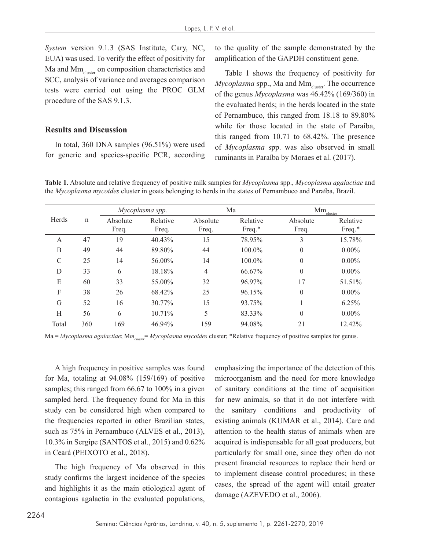*System* version 9.1.3 (SAS Institute, Cary, NC, EUA) was used. To verify the effect of positivity for Ma and  $\text{Mm}_{\text{cluster}}$  on composition characteristics and SCC, analysis of variance and averages comparison tests were carried out using the PROC GLM procedure of the SAS 9.1.3.

#### **Results and Discussion**

In total, 360 DNA samples (96.51%) were used for generic and species-specific PCR, according to the quality of the sample demonstrated by the amplification of the GAPDH constituent gene.

Table 1 shows the frequency of positivity for *Mycoplasma* spp., Ma and Mm<sub>cluster</sub>. The occurrence of the genus *Mycoplasma* was 46.42% (169/360) in the evaluated herds; in the herds located in the state of Pernambuco, this ranged from 18.18 to 89.80% while for those located in the state of Paraíba, this ranged from 10.71 to 68.42%. The presence of *Mycoplasma* spp. was also observed in small ruminants in Paraíba by Moraes et al. (2017).

**Table 1.** Absolute and relative frequency of positive milk samples for *Mycoplasma* spp., *Mycoplasma agalactiae* and the *Mycoplasma mycoides* cluster in goats belonging to herds in the states of Pernambuco and Paraíba, Brazil.

|       |             | Mycoplasma spp.   |                   | Ma                |                    | $\rm{Mm}_{\rm{cluster}}$ |                    |
|-------|-------------|-------------------|-------------------|-------------------|--------------------|--------------------------|--------------------|
| Herds | $\mathbf n$ | Absolute<br>Freq. | Relative<br>Freq. | Absolute<br>Freq. | Relative<br>Freq.* | Absolute<br>Freq.        | Relative<br>Freq.* |
| A     | 47          | 19                | 40.43%            | 15                | 78.95%             | 3                        | 15.78%             |
| B     | 49          | 44                | 89.80%            | 44                | $100.0\%$          | $\mathbf{0}$             | $0.00\%$           |
| C     | 25          | 14                | 56.00%            | 14                | 100.0%             | $\mathbf{0}$             | $0.00\%$           |
| D     | 33          | 6                 | 18.18%            | 4                 | 66.67%             | $\mathbf{0}$             | $0.00\%$           |
| E     | 60          | 33                | 55.00%            | 32                | 96.97%             | 17                       | 51.51%             |
| F     | 38          | 26                | 68.42%            | 25                | 96.15%             | $\boldsymbol{0}$         | $0.00\%$           |
| G     | 52          | 16                | 30.77%            | 15                | 93.75%             |                          | 6.25%              |
| H     | 56          | 6                 | 10.71%            | 5                 | 83.33%             | $\overline{0}$           | $0.00\%$           |
| Total | 360         | 169               | 46.94%            | 159               | 94.08%             | 21                       | 12.42%             |

Ma = *Mycoplasma agalactiae*; M*mcluster*= *Mycoplasma mycoides* cluster; \*Relative frequency of positive samples for genus.

A high frequency in positive samples was found for Ma, totaling at 94.08% (159/169) of positive samples; this ranged from 66.67 to 100% in a given sampled herd. The frequency found for Ma in this study can be considered high when compared to the frequencies reported in other Brazilian states, such as 75% in Pernambuco (ALVES et al., 2013), 10.3% in Sergipe (SANTOS et al., 2015) and 0.62% in Ceará (PEIXOTO et al., 2018).

The high frequency of Ma observed in this study confirms the largest incidence of the species and highlights it as the main etiological agent of contagious agalactia in the evaluated populations,

emphasizing the importance of the detection of this microorganism and the need for more knowledge of sanitary conditions at the time of acquisition for new animals, so that it do not interfere with the sanitary conditions and productivity of existing animals (KUMAR et al., 2014). Care and attention to the health status of animals when are acquired is indispensable for all goat producers, but particularly for small one, since they often do not present financial resources to replace their herd or to implement disease control procedures; in these cases, the spread of the agent will entail greater damage (AZEVEDO et al., 2006).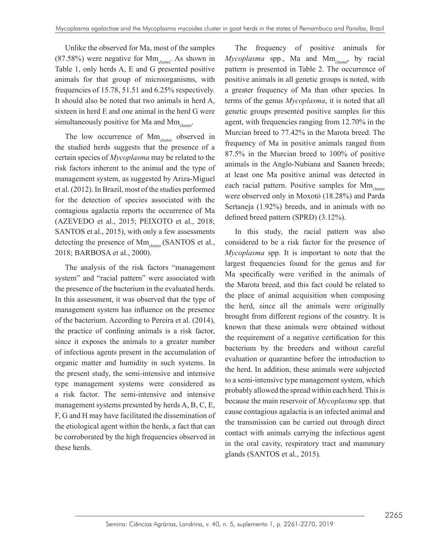Unlike the observed for Ma, most of the samples  $(87.58%)$  were negative for  $Mm_{cluster}$ . As shown in Table 1, only herds A, E and G presented positive animals for that group of microorganisms, with frequencies of 15.78, 51.51 and 6.25% respectively. It should also be noted that two animals in herd A, sixteen in herd E and one animal in the herd G were simultaneously positive for Ma and  $\text{Mm}_{\text{cluster}}$ .

The low occurrence of  $Mm_{cluster}$  observed in the studied herds suggests that the presence of a certain species of *Mycoplasma* may be related to the risk factors inherent to the animal and the type of management system, as suggested by Ariza-Miguel et al. (2012). In Brazil, most of the studies performed for the detection of species associated with the contagious agalactia reports the occurrence of Ma (AZEVEDO et al., 2015; PEIXOTO et al., 2018; SANTOS et al., 2015), with only a few assessments detecting the presence of Mm<sub>cluster</sub> (SANTOS et al., 2018; BARBOSA et al., 2000).

The analysis of the risk factors "management system" and "racial pattern" were associated with the presence of the bacterium in the evaluated herds. In this assessment, it was observed that the type of management system has influence on the presence of the bacterium. According to Pereira et al. (2014), the practice of confining animals is a risk factor, since it exposes the animals to a greater number of infectious agents present in the accumulation of organic matter and humidity in such systems. In the present study, the semi-intensive and intensive type management systems were considered as a risk factor. The semi-intensive and intensive management systems presented by herds A, B, C, E, F, G and H may have facilitated the dissemination of the etiological agent within the herds, a fact that can be corroborated by the high frequencies observed in these herds.

The frequency of positive animals for *Mycoplasma* spp., Ma and Mm<sub>cluster</sub>, by racial pattern is presented in Table 2. The occurrence of positive animals in all genetic groups is noted, with a greater frequency of Ma than other species. In terms of the genus *Mycoplasma*, it is noted that all genetic groups presented positive samples for this agent, with frequencies ranging from 12.70% in the Murcian breed to 77.42% in the Marota breed. The frequency of Ma in positive animals ranged from 87.5% in the Murcian breed to 100% of positive animals in the Anglo-Nubiana and Saanen breeds; at least one Ma positive animal was detected in each racial pattern. Positive samples for  $Mm_{cluster}$ were observed only in Moxotó (18.28%) and Parda Sertaneja (1.92%) breeds, and in animals with no defined breed pattern (SPRD) (3.12%).

In this study, the racial pattern was also considered to be a risk factor for the presence of *Mycoplasma* spp. It is important to note that the largest frequencies found for the genus and for Ma specifically were verified in the animals of the Marota breed, and this fact could be related to the place of animal acquisition when composing the herd, since all the animals were originally brought from different regions of the country. It is known that these animals were obtained without the requirement of a negative certification for this bacterium by the breeders and without careful evaluation or quarantine before the introduction to the herd. In addition, these animals were subjected to a semi-intensive type management system, which probably allowed the spread within each herd. This is because the main reservoir of *Mycoplasma* spp. that cause contagious agalactia is an infected animal and the transmission can be carried out through direct contact with animals carrying the infectious agent in the oral cavity, respiratory tract and mammary glands (SANTOS et al., 2015).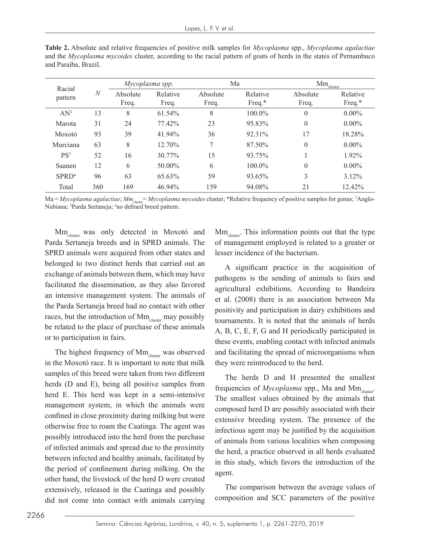| Racial            |                | Mycoplasma spp.   |                   | Ma                |                       | $\rm{Mm}_{\rm{cluster}}$ |                       |
|-------------------|----------------|-------------------|-------------------|-------------------|-----------------------|--------------------------|-----------------------|
| pattern           | $\overline{N}$ | Absolute<br>Freq. | Relative<br>Freq. | Absolute<br>Freq. | Relative<br>Freq. $*$ | Absolute<br>Freq.        | Relative<br>Freq. $*$ |
| $AN^2$            | 13             | 8                 | $61.54\%$         | 8                 | 100.0%                | $\theta$                 | $0.00\%$              |
| Marota            | 31             | 24                | 77.42%            | 23                | 95.83%                | $\theta$                 | $0.00\%$              |
| Moxotó            | 93             | 39                | 41.94%            | 36                | 92.31%                | 17                       | 18.28%                |
| Murciana          | 63             | 8                 | $12.70\%$         | 7                 | 87.50%                | $\theta$                 | $0.00\%$              |
| PS <sup>3</sup>   | 52             | 16                | 30.77%            | 15                | 93.75%                |                          | 1.92%                 |
| Saanen            | 12             | 6                 | 50.00%            | 6                 | $100.0\%$             | $\theta$                 | $0.00\%$              |
| SPRD <sup>4</sup> | 96             | 63                | 65.63%            | 59                | 93.65%                | 3                        | 3.12%                 |
| Total             | 360            | 169               | 46.94%            | 159               | 94.08%                | 21                       | 12.42%                |

**Table 2.** Absolute and relative frequencies of positive milk samples for *Mycoplasma* spp., *Mycoplasma agalactiae* and the *Mycoplasma mycoides* cluster, according to the racial pattern of goats of herds in the states of Pernambuco and Paraíba, Brazil.

Ma = *Mycoplasma agalactiae*; *Mm*<sub>cluster</sub> = *Mycoplasma mycoides* cluster; \*Relative frequency of positive samples for genus; <sup>2</sup>Anglo-Nubiana; <sup>3</sup>Parda Sertaneja; <sup>4</sup>no defined breed pattern.

Mm<sub>cluster</sub> was only detected in Moxotó and Parda Sertaneja breeds and in SPRD animals. The SPRD animals were acquired from other states and belonged to two distinct herds that carried out an exchange of animals between them, which may have facilitated the dissemination, as they also favored an intensive management system. The animals of the Parda Sertaneja breed had no contact with other races, but the introduction of  $\text{Mm}_{\text{cluster}}$  may possibly be related to the place of purchase of these animals or to participation in fairs.

The highest frequency of  $Mm_{cluster}$  was observed in the Moxotó race. It is important to note that milk samples of this breed were taken from two different herds (D and E), being all positive samples from herd E. This herd was kept in a semi-intensive management system, in which the animals were confined in close proximity during milking but were otherwise free to roam the Caatinga. The agent was possibly introduced into the herd from the purchase of infected animals and spread due to the proximity between infected and healthy animals, facilitated by the period of confinement during milking. On the other hand, the livestock of the herd D were created extensively, released in the Caatinga and possibly did not come into contact with animals carrying  $Mm<sub>cluster</sub>$ . This information points out that the type of management employed is related to a greater or lesser incidence of the bacterium.

A significant practice in the acquisition of pathogens is the sending of animals to fairs and agricultural exhibitions. According to Bandeira et al. (2008) there is an association between Ma positivity and participation in dairy exhibitions and tournaments. It is noted that the animals of herds A, B, C, E, F, G and H periodically participated in these events, enabling contact with infected animals and facilitating the spread of microorganisms when they were reintroduced to the herd.

The herds D and H presented the smallest frequencies of *Mycoplasma* spp., Ma and Mm<sub>cluster</sub>. The smallest values obtained by the animals that composed herd D are possibly associated with their extensive breeding system. The presence of the infectious agent may be justified by the acquisition of animals from various localities when composing the herd, a practice observed in all herds evaluated in this study, which favors the introduction of the agent.

The comparison between the average values of composition and SCC parameters of the positive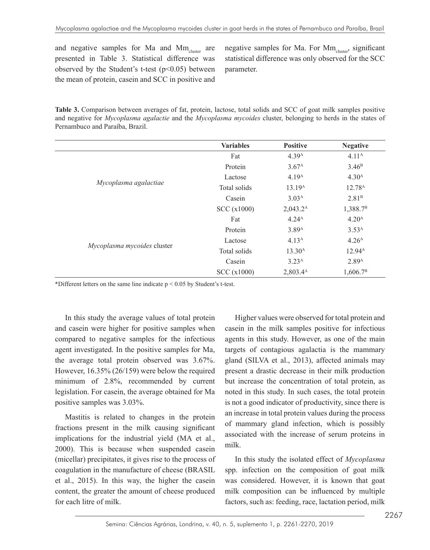and negative samples for Ma and  $Mm_{\text{cluster}}$  are presented in Table 3. Statistical difference was observed by the Student's t-test  $(p<0.05)$  between the mean of protein, casein and SCC in positive and negative samples for Ma. For  $Mm_{cluster}$ , significant statistical difference was only observed for the SCC parameter.

**Table 3.** Comparison between averages of fat, protein, lactose, total solids and SCC of goat milk samples positive and negative for *Mycoplasma agalactie* and the *Mycoplasma mycoides* cluster, belonging to herds in the states of Pernambuco and Paraíba, Brazil.

|                             | <b>Variables</b> | <b>Positive</b>      | <b>Negative</b>      |
|-----------------------------|------------------|----------------------|----------------------|
|                             | Fat              | 4.39 <sup>A</sup>    | 4.11 <sup>A</sup>    |
|                             | Protein          | 3.67 <sup>A</sup>    | 3.46 <sup>B</sup>    |
|                             | Lactose          | 4.19 <sup>A</sup>    | 4.30 <sup>A</sup>    |
| Mycoplasma agalactiae       | Total solids     | 13.19 <sup>A</sup>   | 12.78 <sup>A</sup>   |
|                             | Casein           | 3.03 <sup>A</sup>    | 2.81 <sup>B</sup>    |
|                             | SCC (x1000)      | $2,043.2^{\text{A}}$ | 1,388.7 <sup>B</sup> |
|                             | Fat              | 4.24 <sup>A</sup>    | 4.20 <sup>A</sup>    |
|                             | Protein          | 3.89 <sup>A</sup>    | 3.53 <sup>A</sup>    |
|                             | Lactose          | 4.13 <sup>A</sup>    | 4.26 <sup>A</sup>    |
| Mycoplasma mycoides cluster | Total solids     | 13.30 <sup>A</sup>   | 12.94 <sup>A</sup>   |
|                             | Casein           | 3.23 <sup>A</sup>    | 2.89 <sup>A</sup>    |
|                             | SCC (x1000)      | 2,803.44             | 1,606.7 <sup>B</sup> |

\*Different letters on the same line indicate  $p < 0.05$  by Student's t-test.

In this study the average values of total protein and casein were higher for positive samples when compared to negative samples for the infectious agent investigated. In the positive samples for Ma, the average total protein observed was 3.67%. However, 16.35% (26/159) were below the required minimum of 2.8%, recommended by current legislation. For casein, the average obtained for Ma positive samples was 3.03%.

Mastitis is related to changes in the protein fractions present in the milk causing significant implications for the industrial yield (MA et al., 2000). This is because when suspended casein (micellar) precipitates, it gives rise to the process of coagulation in the manufacture of cheese (BRASIL et al., 2015). In this way, the higher the casein content, the greater the amount of cheese produced for each litre of milk.

Higher values were observed for total protein and casein in the milk samples positive for infectious agents in this study. However, as one of the main targets of contagious agalactia is the mammary gland (SILVA et al., 2013), affected animals may present a drastic decrease in their milk production but increase the concentration of total protein, as noted in this study. In such cases, the total protein is not a good indicator of productivity, since there is an increase in total protein values during the process of mammary gland infection, which is possibly associated with the increase of serum proteins in milk.

In this study the isolated effect of *Mycoplasma* spp. infection on the composition of goat milk was considered. However, it is known that goat milk composition can be influenced by multiple factors, such as: feeding, race, lactation period, milk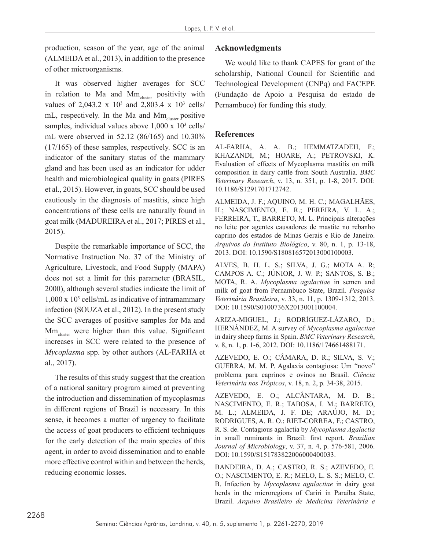production, season of the year, age of the animal (ALMEIDA et al., 2013), in addition to the presence of other microorganisms.

It was observed higher averages for SCC in relation to Ma and Mm<sub>cluster</sub> positivity with values of 2,043.2 x  $10^3$  and 2,803.4 x  $10^3$  cells/ mL, respectively. In the Ma and Mm<sub>cluster</sub> positive samples, individual values above 1,000 x 10<sup>3</sup> cells/ mL were observed in 52.12 (86/165) and 10.30% (17/165) of these samples, respectively. SCC is an indicator of the sanitary status of the mammary gland and has been used as an indicator for udder health and microbiological quality in goats (PIRES et al., 2015). However, in goats, SCC should be used cautiously in the diagnosis of mastitis, since high concentrations of these cells are naturally found in goat milk (MADUREIRA et al., 2017; PIRES et al., 2015).

Despite the remarkable importance of SCC, the Normative Instruction No. 37 of the Ministry of Agriculture, Livestock, and Food Supply (MAPA) does not set a limit for this parameter (BRASIL, 2000), although several studies indicate the limit of  $1,000 \times 10^3$  cells/mL as indicative of intramammary infection (SOUZA et al., 2012). In the present study the SCC averages of positive samples for Ma and Mm<sub>cluster</sub> were higher than this value. Significant increases in SCC were related to the presence of *Mycoplasma* spp. by other authors (AL-FARHA et al., 2017).

The results of this study suggest that the creation of a national sanitary program aimed at preventing the introduction and dissemination of mycoplasmas in different regions of Brazil is necessary. In this sense, it becomes a matter of urgency to facilitate the access of goat producers to efficient techniques for the early detection of the main species of this agent, in order to avoid dissemination and to enable more effective control within and between the herds, reducing economic losses.

#### **Acknowledgments**

We would like to thank CAPES for grant of the scholarship, National Council for Scientific and Technological Development (CNPq) and FACEPE (Fundação de Apoio a Pesquisa do estado de Pernambuco) for funding this study.

#### **References**

AL-FARHA, A. A. B.; HEMMATZADEH, F.; KHAZANDI, M.; HOARE, A.; PETROVSKI, K. Evaluation of effects of Mycoplasma mastitis on milk composition in dairy cattle from South Australia. *BMC Veterinary Research*, v. 13, n. 351, p. 1-8, 2017. DOI: 10.1186/S1291701712742.

ALMEIDA, J. F.; AQUINO, M. H. C.; MAGALHÃES, H.; NASCIMENTO, E. R.; PEREIRA, V. L. A.; FERREIRA, T., BARRETO, M. L. Principais alterações no leite por agentes causadores de mastite no rebanho caprino dos estados de Minas Gerais e Rio de Janeiro. *Arquivos do Instituto Biológico*, v. 80, n. 1, p. 13-18, 2013. DOI: 10.1590/S180816572013000100003.

ALVES, B. H. L. S.; SILVA, J. G.; MOTA A. R; CAMPOS A. C.; JÚNIOR, J. W. P.; SANTOS, S. B.; MOTA, R. A. *Mycoplasma agalactiae* in semen and milk of goat from Pernambuco State, Brazil. *Pesquisa Veterinária Brasileira*, v. 33, n. 11, p. 1309-1312, 2013. DOI: 10.1590/S0100736X2013001100004.

ARIZA-MIGUEL, J.; RODRÍGUEZ-LÁZARO, D.; HERNÁNDEZ, M. A survey of *Mycoplasma agalactiae* in dairy sheep farms in Spain. *BMC Veterinary Research*, v. 8, n. 1, p. 1-6, 2012. DOI: 10.1186/174661488171.

AZEVEDO, E. O.; CÂMARA, D. R.; SILVA, S. V.; GUERRA, M. M. P. Agalaxia contagiosa: Um "novo" problema para caprinos e ovinos no Brasil. *Ciência Veterinária nos Trópicos*, v. 18, n. 2, p. 34-38, 2015.

AZEVEDO, E. O.; ALCÂNTARA, M. D. B.; NASCIMENTO, E. R.; TABOSA, I. M.; BARRETO, M. L.; ALMEIDA, J. F. DE; ARAÚJO, M. D.; RODRIGUES, A. R. O.; RIET-CORREA, F.; CASTRO, R. S. de. Contagious agalactia by *Mycoplasma Agalactia* in small ruminants in Brazil: first report. *Brazilian Journal of Microbiology*, v. 37, n. 4, p. 576-581, 2006. DOI: 10.1590/S151783822006000400033.

BANDEIRA, D. A.; CASTRO, R. S.; AZEVEDO, E. O.; NASCIMENTO, E. R.; MELO, L. S. S.; MELO, C. B. Infection by *Mycoplasma agalactiae* in dairy goat herds in the microregions of Cariri in Paraíba State, Brazil. *Arquivo Brasileiro de Medicina Veterinária e*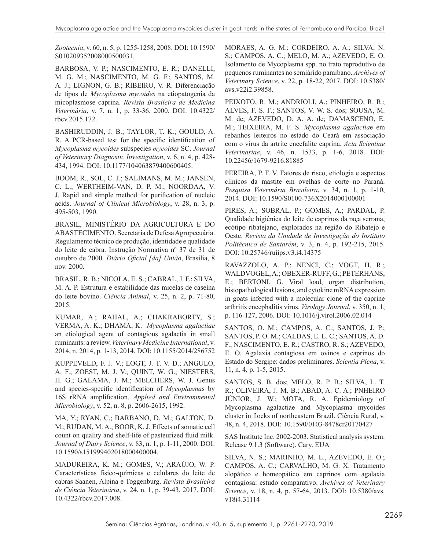*Zootecnia*, v. 60, n. 5, p. 1255-1258, 2008. DOI: 10.1590/ S010209352008000500031.

BARBOSA, V. P.; NASCIMENTO, E. R.; DANELLI, M. G. M.; NASCIMENTO, M. G. F.; SANTOS, M. A. J.; LIGNON, G. B.; RIBEIRO, V. R. Diferenciação de tipos de *Mycoplasma mycoides* na etiopatogenia da micoplasmose caprina. *Revista Brasileira de Medicina Veterinária*, v. 7, n. 1, p. 33-36, 2000. DOI: 10.4322/ rbcv.2015.172.

BASHIRUDDIN, J. B.; TAYLOR, T. K.; GOULD, A. R. A PCR-based test for the specific identification of *Mycoplasma mycoides* subspecies *mycoides* SC. *Journal of Veterinary Diagnostic Investigation*, v. 6, n. 4, p. 428- 434, 1994. DOI: 10.1177/104063879400600405.

BOOM, R., SOL, C. J.; SALIMANS, M. M.; JANSEN, C. L.; WERTHEIM-VAN, D. P. M.; NOORDAA, V. J. Rapid and simple method for purification of nucleic acids. *Journal of Clinical Microbiology*, v. 28, n. 3, p. 495-503, 1990.

BRASIL, MINISTÉRIO DA AGRICULTURA E DO ABASTECIMENTO. Secretaria de Defesa Agropecuária. Regulamento técnico de produção, identidade e qualidade do leite de cabra. Instrução Normativa nº 37 de 31 de outubro de 2000. *Diário Oficial [da] União*, Brasília, 8 nov. 2000.

BRASIL, R. B.; NICOLA, E. S.; CABRAL, J. F.; SILVA, M. A. P. Estrutura e estabilidade das micelas de caseína do leite bovino. *Ciência Animal*, v. 25, n. 2, p. 71-80, 2015.

KUMAR, A.; RAHAL, A.; CHAKRABORTY, S.; VERMA, A. K.; DHAMA, K. *Mycoplasma agalactiae* an etiological agent of contagious agalactia in small ruminants: a review. *Veterinary Medicine International*, v. 2014, n. 2014, p. 1-13, 2014. DOI: 10.1155/2014/286752

KUPPEVELD, F. J. V.; LOGT, J. T. V. D.; ANGULO, A. F.; ZOEST, M. J. V.; QUINT, W. G.; NIESTERS, H. G.; GALAMA, J. M.; MELCHERS, W. J. Genus and species-specific identification of *Mycoplasma*s by 16S rRNA amplification. *Applied and Environmental Microbiology*, v. 52, n. 8, p. 2606-2615, 1992.

MA, Y.; RYAN, C.; BARBANO, D. M.; GALTON, D. M.; RUDAN, M. A.; BOOR, K. J. Effects of somatic cell count on quality and shelf-life of pasteurized fluid milk. *Journal of Dairy Science*, v. 83, n. 1, p. 1-11, 2000. DOI: 10.1590/s151999402018000400004.

MADUREIRA, K. M.; GOMES, V.; ARAÚJO, W. P. Características físico-químicas e celulares do leite de cabras Saanen, Alpina e Toggenburg. *Revista Brasileira de Ciência Veterinária*, v. 24, n. 1, p. 39-43, 2017. DOI: 10.4322/rbcv.2017.008.

MORAES, A. G. M.; CORDEIRO, A. A.; SILVA, N. S.; CAMPOS, A. C.; MELO, M. A.; AZEVEDO, E. O. Isolamento de Mycoplasma spp. no trato reprodutivo de pequenos ruminantes no semiárido paraibano. *Archives of Veterinary Science*, v. 22, p. 18-22, 2017. DOI: 10.5380/ avs.v22i2.39858.

PEIXOTO, R. M.; ANDRIOLI, A.; PINHEIRO, R. R.; ALVES, F. S. F.; SANTOS, V. W. S. dos; SOUSA, M. M. de; AZEVEDO, D. A. A. de; DAMASCENO, E. M.; TEIXEIRA, M. F. S. *Mycoplasma agalactia*e em rebanhos leiteiros no estado do Ceará em associação com o vírus da artrite encefalite caprina. *Acta Scientiae Veterinariae*, v. 46, n. 1533, p. 1-6, 2018. DOI: 10.22456/1679-9216.81885

PEREIRA, P. F. V. Fatores de risco, etiologia e aspectos clínicos da mastite em ovelhas de corte no Paraná. *Pesquisa Veterinária Brasileira*, v. 34, n. 1, p. 1-10, 2014. DOI: 10.1590/S0100-736X2014000100001

PIRES, A.; SOBRAL, P.; GOMES, A.; PARDAL, P. Qualidade higiénica do leite de caprinos da raça serrana, ecótipo ribatejano, explorados na região do Ribatejo e Oeste. *Revista da Unidade de Investigação do Instituto Politécnico de Santarém*, v. 3, n. 4, p. 192-215, 2015. DOI: 10.25746/ruiips.v3.i4.14375

RAVAZZOLO, A. P.; NENCI, C.; VOGT, H. R.; WALDVOGEL, A.; OBEXER-RUFF, G.; PETERHANS, E.; BERTONI, G. Viral load, organ distribution, histopathological lesions, and cytokine mRNA expression in goats infected with a molecular clone of the caprine arthritis encephalitis virus. *Virology Journal*, v. 350, n. 1, p. 116-127, 2006. DOI: 10.1016/j.virol.2006.02.014

SANTOS, O. M.; CAMPOS, A. C.; SANTOS, J. P.; SANTOS, P. O. M.; CALDAS, E. L. C.; SANTOS, A. D. F.; NASCIMENTO, E. R.; CASTRO, R. S.; AZEVEDO, E. O. Agalaxia contagiosa em ovinos e caprinos do Estado do Sergipe: dados preliminares. *Scientia Plena*, v. 11, n. 4, p. 1-5, 2015.

SANTOS, S. B. dos; MELO, R. P. B.; SILVA, L. T. R.; OLIVEIRA, J. M. B.; ABAD, A. C. A.; PNHEIRO JÚNIOR, J. W.; MOTA, R. A. Epidemiology of Mycoplasma agalactiae and Mycoplasma mycoides cluster in flocks of northeastern Brazil. Ciência Rural, v. 48, n. 4, 2018. DOI: 10.1590/0103-8478cr20170427

SAS Institute Inc. 2002-2003. Statistical analysis system. Release 9.1.3 (Software). Cary. EUA

SILVA, N. S.; MARINHO, M. L., AZEVEDO, E. O.; CAMPOS, A. C.; CARVALHO, M. G. X. Tratamento alopático e homeopático em caprinos com agalaxia contagiosa: estudo comparativo. *Archives of Veterinary Science*, v. 18, n. 4, p. 57-64, 2013. DOI: 10.5380/avs. v18i4.31114